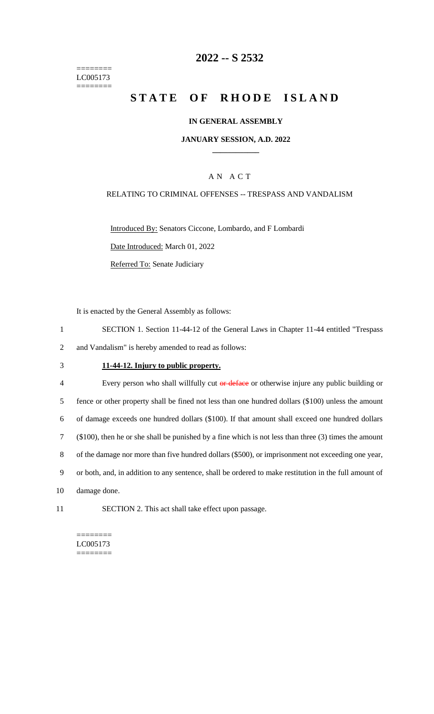======== LC005173 ========

## **2022 -- S 2532**

# **STATE OF RHODE ISLAND**

#### **IN GENERAL ASSEMBLY**

### **JANUARY SESSION, A.D. 2022 \_\_\_\_\_\_\_\_\_\_\_\_**

### A N A C T

### RELATING TO CRIMINAL OFFENSES -- TRESPASS AND VANDALISM

Introduced By: Senators Ciccone, Lombardo, and F Lombardi Date Introduced: March 01, 2022 Referred To: Senate Judiciary

It is enacted by the General Assembly as follows:

- 1 SECTION 1. Section 11-44-12 of the General Laws in Chapter 11-44 entitled "Trespass 2 and Vandalism" is hereby amended to read as follows:
- 3 **11-44-12. Injury to public property.**

4 Every person who shall willfully cut or deface or otherwise injure any public building or fence or other property shall be fined not less than one hundred dollars (\$100) unless the amount of damage exceeds one hundred dollars (\$100). If that amount shall exceed one hundred dollars (\$100), then he or she shall be punished by a fine which is not less than three (3) times the amount of the damage nor more than five hundred dollars (\$500), or imprisonment not exceeding one year, or both, and, in addition to any sentence, shall be ordered to make restitution in the full amount of damage done.

11 SECTION 2. This act shall take effect upon passage.

======== LC005173  $=$